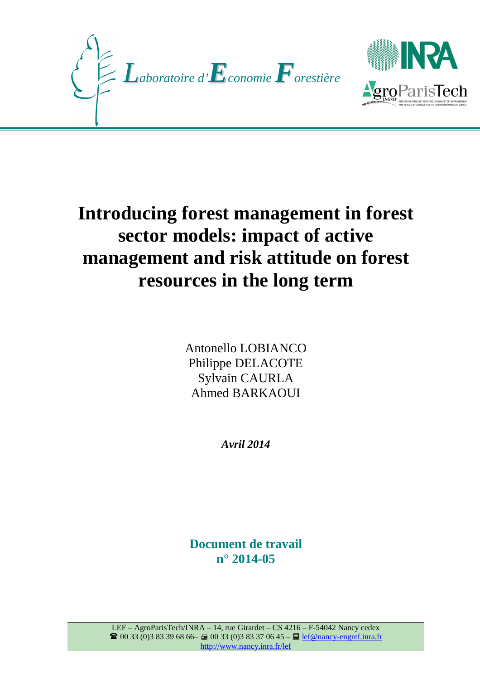



# **Introducing forest management in forest sector models: impact of active management and risk attitude on forest resources in the long term**

Antonello LOBIANCO Philippe DELACOTE Sylvain CAURLA Ahmed BARKAOUI

*Avril 2014*

**Document de travail n° 2014-05**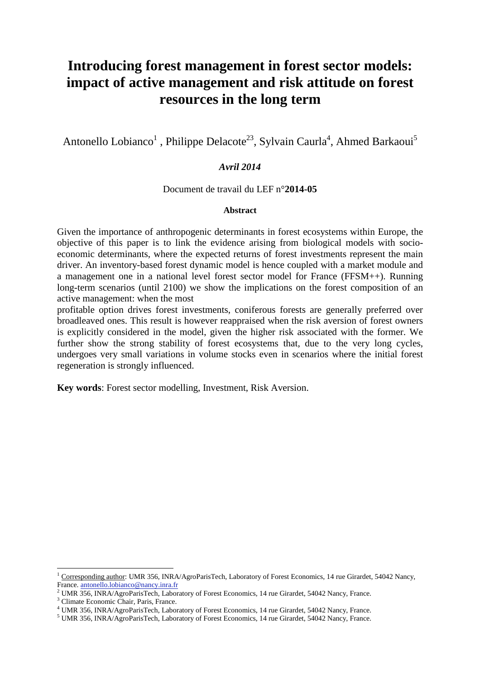# **Introducing forest management in forest sector models: impact of active management and risk attitude on forest resources in the long term**

Antonello Lobianco<sup>1</sup>, Philippe Delacote<sup>23</sup>, Sylvain Caurla<sup>4</sup>, Ahmed Barkaoui<sup>5</sup>

### *Avril 2014*

#### Document de travail du LEF n°**2014-05**

#### **Abstract**

Given the importance of anthropogenic determinants in forest ecosystems within Europe, the objective of this paper is to link the evidence arising from biological models with socioeconomic determinants, where the expected returns of forest investments represent the main driver. An inventory-based forest dynamic model is hence coupled with a market module and a management one in a national level forest sector model for France (FFSM++). Running long-term scenarios (until 2100) we show the implications on the forest composition of an active management: when the most

profitable option drives forest investments, coniferous forests are generally preferred over broadleaved ones. This result is however reappraised when the risk aversion of forest owners is explicitly considered in the model, given the higher risk associated with the former. We further show the strong stability of forest ecosystems that, due to the very long cycles, undergoes very small variations in volume stocks even in scenarios where the initial forest regeneration is strongly influenced.

**Key words**: Forest sector modelling, Investment, Risk Aversion.

 $\overline{a}$ 

<sup>&</sup>lt;sup>1</sup> Corresponding author: UMR 356, INRA/AgroParisTech, Laboratory of Forest Economics, 14 rue Girardet, 54042 Nancy, France. antonello.lobianco@nancy.inra.fr

<sup>&</sup>lt;sup>2</sup> UMR 356, INRA/AgroParisTech, Laboratory of Forest Economics, 14 rue Girardet, 54042 Nancy, France.

<sup>3</sup> Climate Economic Chair, Paris, France.

<sup>4</sup> UMR 356, INRA/AgroParisTech, Laboratory of Forest Economics, 14 rue Girardet, 54042 Nancy, France.

<sup>&</sup>lt;sup>5</sup> UMR 356, INRA/AgroParisTech, Laboratory of Forest Economics, 14 rue Girardet, 54042 Nancy, France.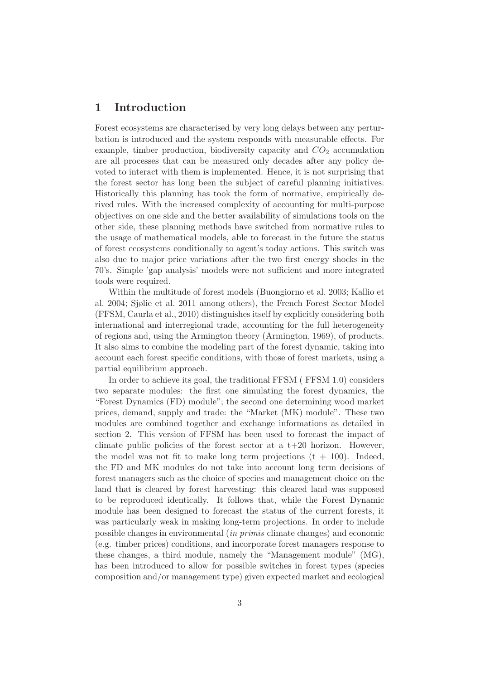# 1 Introduction

Forest ecosystems are characterised by very long delays between any perturbation is introduced and the system responds with measurable effects. For example, timber production, biodiversity capacity and  $CO<sub>2</sub>$  accumulation are all processes that can be measured only decades after any policy devoted to interact with them is implemented. Hence, it is not surprising that the forest sector has long been the subject of careful planning initiatives. Historically this planning has took the form of normative, empirically derived rules. With the increased complexity of accounting for multi-purpose objectives on one side and the better availability of simulations tools on the other side, these planning methods have switched from normative rules to the usage of mathematical models, able to forecast in the future the status of forest ecosystems conditionally to agent's today actions. This switch was also due to major price variations after the two first energy shocks in the 70's. Simple 'gap analysis' models were not sufficient and more integrated tools were required.

Within the multitude of forest models (Buongiorno et al. 2003; Kallio et al. 2004; Sjølie et al. 2011 among others), the French Forest Sector Model (FFSM, Caurla et al., 2010) distinguishes itself by explicitly considering both international and interregional trade, accounting for the full heterogeneity of regions and, using the Armington theory (Armington, 1969), of products. It also aims to combine the modeling part of the forest dynamic, taking into account each forest specific conditions, with those of forest markets, using a partial equilibrium approach.

In order to achieve its goal, the traditional FFSM ( FFSM 1.0) considers two separate modules: the first one simulating the forest dynamics, the "Forest Dynamics (FD) module"; the second one determining wood market prices, demand, supply and trade: the "Market (MK) module". These two modules are combined together and exchange informations as detailed in section 2. This version of FFSM has been used to forecast the impact of climate public policies of the forest sector at a  $t+20$  horizon. However, the model was not fit to make long term projections  $(t + 100)$ . Indeed, the FD and MK modules do not take into account long term decisions of forest managers such as the choice of species and management choice on the land that is cleared by forest harvesting: this cleared land was supposed to be reproduced identically. It follows that, while the Forest Dynamic module has been designed to forecast the status of the current forests, it was particularly weak in making long-term projections. In order to include possible changes in environmental (*in primis* climate changes) and economic (e.g. timber prices) conditions, and incorporate forest managers response to these changes, a third module, namely the "Management module" (MG), has been introduced to allow for possible switches in forest types (species composition and/or management type) given expected market and ecological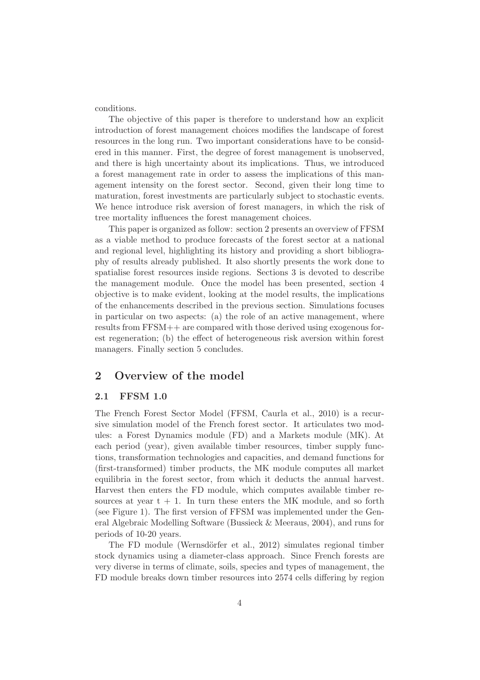conditions.

The objective of this paper is therefore to understand how an explicit introduction of forest management choices modifies the landscape of forest resources in the long run. Two important considerations have to be considered in this manner. First, the degree of forest management is unobserved, and there is high uncertainty about its implications. Thus, we introduced a forest management rate in order to assess the implications of this management intensity on the forest sector. Second, given their long time to maturation, forest investments are particularly subject to stochastic events. We hence introduce risk aversion of forest managers, in which the risk of tree mortality influences the forest management choices.

This paper is organized as follow: section 2 presents an overview of FFSM as a viable method to produce forecasts of the forest sector at a national and regional level, highlighting its history and providing a short bibliography of results already published. It also shortly presents the work done to spatialise forest resources inside regions. Sections 3 is devoted to describe the management module. Once the model has been presented, section 4 objective is to make evident, looking at the model results, the implications of the enhancements described in the previous section. Simulations focuses in particular on two aspects: (a) the role of an active management, where results from FFSM++ are compared with those derived using exogenous forest regeneration; (b) the effect of heterogeneous risk aversion within forest managers. Finally section 5 concludes.

# 2 Overview of the model

#### 2.1 FFSM 1.0

The French Forest Sector Model (FFSM, Caurla et al., 2010) is a recursive simulation model of the French forest sector. It articulates two modules: a Forest Dynamics module (FD) and a Markets module (MK). At each period (year), given available timber resources, timber supply functions, transformation technologies and capacities, and demand functions for (first-transformed) timber products, the MK module computes all market equilibria in the forest sector, from which it deducts the annual harvest. Harvest then enters the FD module, which computes available timber resources at year  $t + 1$ . In turn these enters the MK module, and so forth (see Figure 1). The first version of FFSM was implemented under the General Algebraic Modelling Software (Bussieck & Meeraus, 2004), and runs for periods of 10-20 years.

The FD module (Wernsdörfer et al., 2012) simulates regional timber stock dynamics using a diameter-class approach. Since French forests are very diverse in terms of climate, soils, species and types of management, the FD module breaks down timber resources into 2574 cells differing by region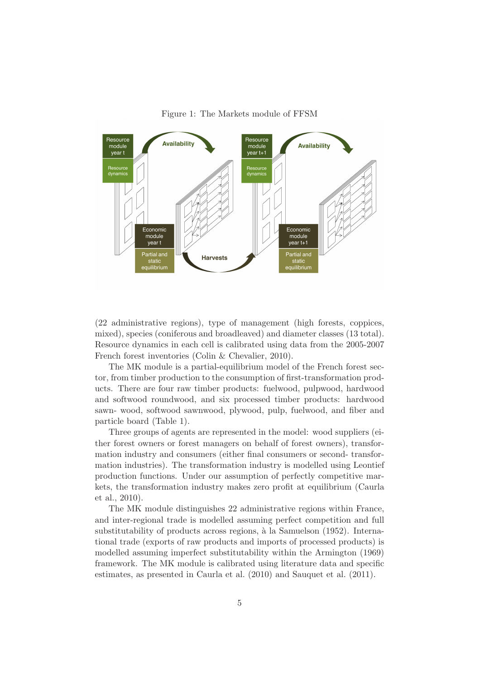

Figure 1: The Markets module of FFSM

(22 administrative regions), type of management (high forests, coppices, mixed), species (coniferous and broadleaved) and diameter classes (13 total). Resource dynamics in each cell is calibrated using data from the 2005-2007 French forest inventories (Colin & Chevalier, 2010).

The MK module is a partial-equilibrium model of the French forest sector, from timber production to the consumption of first-transformation products. There are four raw timber products: fuelwood, pulpwood, hardwood and softwood roundwood, and six processed timber products: hardwood sawn- wood, softwood sawnwood, plywood, pulp, fuelwood, and fiber and particle board (Table 1).

Three groups of agents are represented in the model: wood suppliers (either forest owners or forest managers on behalf of forest owners), transformation industry and consumers (either final consumers or second- transformation industries). The transformation industry is modelled using Leontief production functions. Under our assumption of perfectly competitive markets, the transformation industry makes zero profit at equilibrium (Caurla et al., 2010).

The MK module distinguishes 22 administrative regions within France, and inter-regional trade is modelled assuming perfect competition and full substitutability of products across regions, à la Samuelson (1952). International trade (exports of raw products and imports of processed products) is modelled assuming imperfect substitutability within the Armington (1969) framework. The MK module is calibrated using literature data and specific estimates, as presented in Caurla et al. (2010) and Sauquet et al. (2011).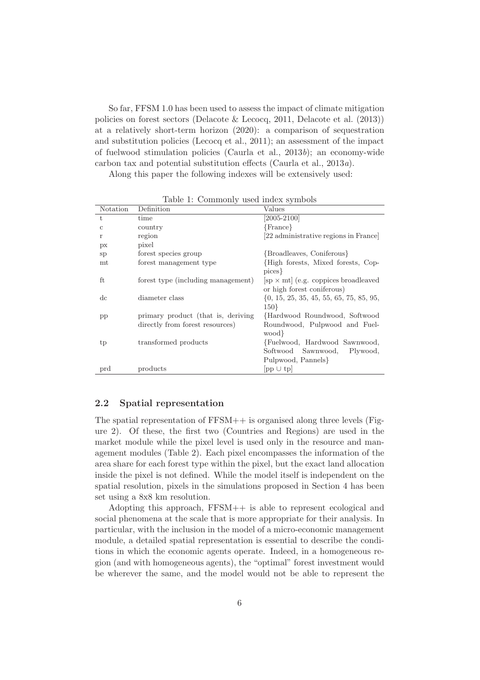So far, FFSM 1.0 has been used to assess the impact of climate mitigation policies on forest sectors (Delacote & Lecocq, 2011, Delacote et al. (2013)) at a relatively short-term horizon (2020): a comparison of sequestration and substitution policies (Lecocq et al., 2011); an assessment of the impact of fuelwood stimulation policies (Caurla et al., 2013*b*); an economy-wide carbon tax and potential substitution effects (Caurla et al., 2013*a*).

Along this paper the following indexes will be extensively used:

| Notation      | Definition                         | Values                                                                                  |
|---------------|------------------------------------|-----------------------------------------------------------------------------------------|
| t.            | time                               | $\overline{[2005-2100]}$                                                                |
| $\mathbf{c}$  | country                            | ${France}$                                                                              |
| r             | region                             | [22 administrative regions in France]                                                   |
| px            | pixel                              |                                                                                         |
| <sub>sp</sub> | forest species group               | {Broadleaves, Coniferous}                                                               |
| $m_{\rm t}$   | forest management type             | High forests, Mixed forests, Cop-<br>pices }                                            |
| ft            | forest type (including management) | $[\text{sp} \times \text{mt}]$ (e.g. coppices broadleaved<br>or high forest coniferous) |
| dc            | diameter class                     | $\{0, 15, 25, 35, 45, 55, 65, 75, 85, 95,$<br>$150\}$                                   |
| $\rm pp$      | primary product (that is, deriving | Hardwood Roundwood, Softwood                                                            |
|               | directly from forest resources)    | Roundwood, Pulpwood and Fuel-<br>wood }                                                 |
| tp            | transformed products               | Fuelwood, Hardwood Sawnwood,                                                            |
|               |                                    | Softwood Sawnwood,<br>Plywood,                                                          |
|               |                                    | Pulpwood, Pannels                                                                       |
| prd           | products                           | $ pp \cup tp $                                                                          |

Table 1: Commonly used index symbols

#### 2.2 Spatial representation

The spatial representation of FFSM++ is organised along three levels (Figure 2). Of these, the first two (Countries and Regions) are used in the market module while the pixel level is used only in the resource and management modules (Table 2). Each pixel encompasses the information of the area share for each forest type within the pixel, but the exact land allocation inside the pixel is not defined. While the model itself is independent on the spatial resolution, pixels in the simulations proposed in Section 4 has been set using a 8x8 km resolution.

Adopting this approach, FFSM++ is able to represent ecological and social phenomena at the scale that is more appropriate for their analysis. In particular, with the inclusion in the model of a micro-economic management module, a detailed spatial representation is essential to describe the conditions in which the economic agents operate. Indeed, in a homogeneous region (and with homogeneous agents), the "optimal" forest investment would be wherever the same, and the model would not be able to represent the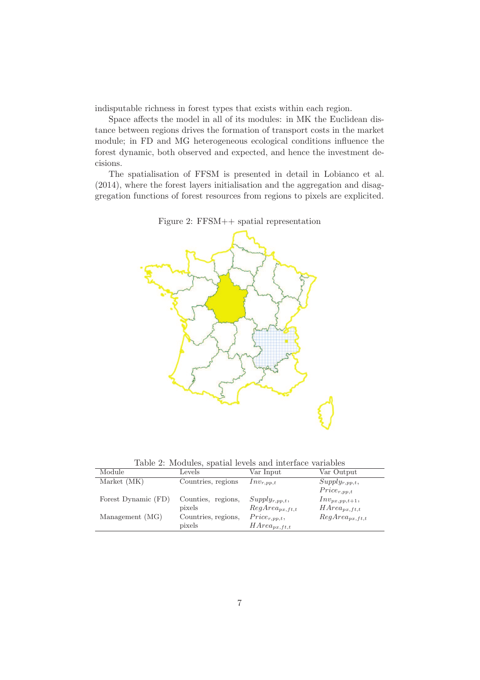indisputable richness in forest types that exists within each region.

Space affects the model in all of its modules: in MK the Euclidean distance between regions drives the formation of transport costs in the market module; in FD and MG heterogeneous ecological conditions influence the forest dynamic, both observed and expected, and hence the investment decisions.

The spatialisation of FFSM is presented in detail in Lobianco et al. (2014), where the forest layers initialisation and the aggregation and disaggregation functions of forest resources from regions to pixels are explicited.



Figure 2: FFSM++ spatial representation

Table 2: Modules, spatial levels and interface variables

| Module              | Levels              | Var Input           | Var Output          |
|---------------------|---------------------|---------------------|---------------------|
| Market (MK)         | Countries, regions  | $Inv_{r,pp,t}$      | $Supply_{r,pp,t},$  |
|                     |                     |                     | $Price_{r,pp,t}$    |
| Forest Dynamic (FD) | Counties, regions,  | $Supply_{r,pp,t},$  | $Inv_{px,pp,t+1},$  |
|                     | pixels              | $RegArea_{px,ft,t}$ | $HArea_{px,ft,t}$   |
| Management (MG)     | Countries, regions, | $Price_{r,pp,t},$   | $RegArea_{px,ft,t}$ |
|                     | pixels              | $HArea_{px,ft,t}$   |                     |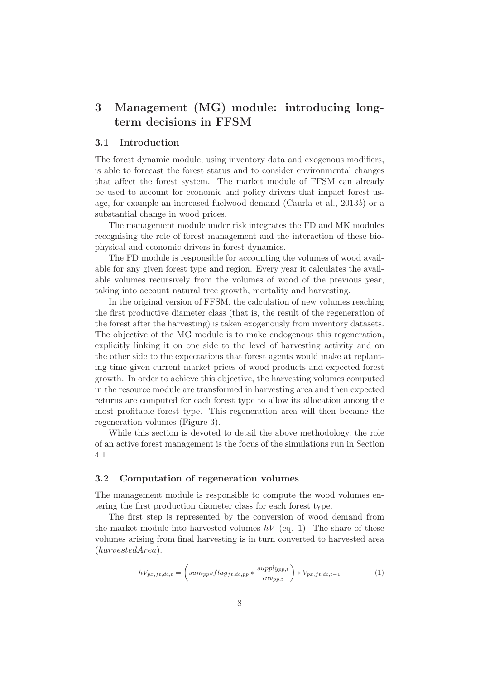# 3 Management (MG) module: introducing longterm decisions in FFSM

#### 3.1 Introduction

The forest dynamic module, using inventory data and exogenous modifiers, is able to forecast the forest status and to consider environmental changes that affect the forest system. The market module of FFSM can already be used to account for economic and policy drivers that impact forest usage, for example an increased fuelwood demand (Caurla et al., 2013*b*) or a substantial change in wood prices.

The management module under risk integrates the FD and MK modules recognising the role of forest management and the interaction of these biophysical and economic drivers in forest dynamics.

The FD module is responsible for accounting the volumes of wood available for any given forest type and region. Every year it calculates the available volumes recursively from the volumes of wood of the previous year, taking into account natural tree growth, mortality and harvesting.

In the original version of FFSM, the calculation of new volumes reaching the first productive diameter class (that is, the result of the regeneration of the forest after the harvesting) is taken exogenously from inventory datasets. The objective of the MG module is to make endogenous this regeneration, explicitly linking it on one side to the level of harvesting activity and on the other side to the expectations that forest agents would make at replanting time given current market prices of wood products and expected forest growth. In order to achieve this objective, the harvesting volumes computed in the resource module are transformed in harvesting area and then expected returns are computed for each forest type to allow its allocation among the most profitable forest type. This regeneration area will then became the regeneration volumes (Figure 3).

While this section is devoted to detail the above methodology, the role of an active forest management is the focus of the simulations run in Section 4.1.

#### 3.2 Computation of regeneration volumes

The management module is responsible to compute the wood volumes entering the first production diameter class for each forest type.

The first step is represented by the conversion of wood demand from the market module into harvested volumes  $hV$  (eq. 1). The share of these volumes arising from final harvesting is in turn converted to harvested area (harvestedArea).

$$
hV_{px,ft,dc,t} = \left(sum_{pp}sflag_{ft,dc,pp} * \frac{supply_{pp,t}}{inv_{pp,t}}\right) * V_{px,ft,dc,t-1}
$$
 (1)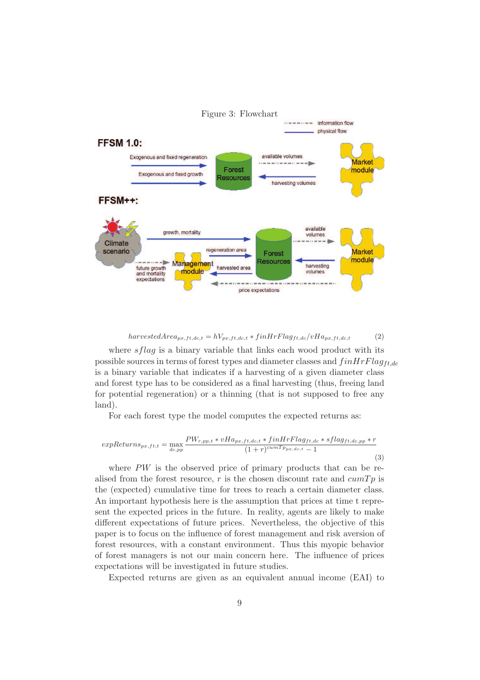

#### harvestedArea<sub>px,ft,dc,t</sub> =  $hV_{px,ft,dc,t}$  \* finHrFlag<sub>ft,dc</sub>/vHa<sub>px,ft,dc,t</sub> (2)

where  $sflag$  is a binary variable that links each wood product with its possible sources in terms of forest types and diameter classes and  $fin HrFlag_{ft,dc}$ is a binary variable that indicates if a harvesting of a given diameter class and forest type has to be considered as a final harvesting (thus, freeing land for potential regeneration) or a thinning (that is not supposed to free any land).

For each forest type the model computes the expected returns as:

$$
expReturns_{px,ft,t} = \max_{dc,pp} \frac{PW_{r,pp,t} * vHa_{px,ft,dc,t} * finHrFlag_{ft,dc} * sflag_{ft,dc,pp} * r}{(1+r)^{cumTp_{px,dc,t}} - 1}
$$
\n(3)

where PW is the observed price of primary products that can be realised from the forest resource, r is the chosen discount rate and  $cumTp$  is the (expected) cumulative time for trees to reach a certain diameter class. An important hypothesis here is the assumption that prices at time t represent the expected prices in the future. In reality, agents are likely to make different expectations of future prices. Nevertheless, the objective of this paper is to focus on the influence of forest management and risk aversion of forest resources, with a constant environment. Thus this myopic behavior of forest managers is not our main concern here. The influence of prices expectations will be investigated in future studies.

Expected returns are given as an equivalent annual income (EAI) to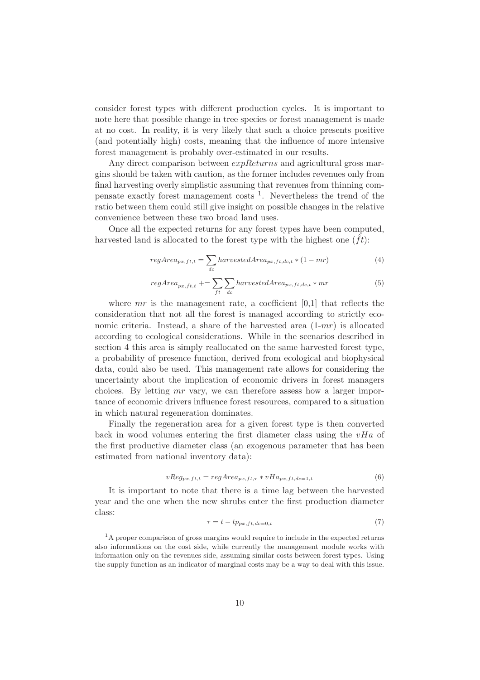consider forest types with different production cycles. It is important to note here that possible change in tree species or forest management is made at no cost. In reality, it is very likely that such a choice presents positive (and potentially high) costs, meaning that the influence of more intensive forest management is probably over-estimated in our results.

Any direct comparison between  $expReturns$  and agricultural gross margins should be taken with caution, as the former includes revenues only from final harvesting overly simplistic assuming that revenues from thinning compensate exactly forest management costs <sup>1</sup> . Nevertheless the trend of the ratio between them could still give insight on possible changes in the relative convenience between these two broad land uses.

Once all the expected returns for any forest types have been computed, harvested land is allocated to the forest type with the highest one  $(f_t)$ :

$$
regArea_{px,ft,t} = \sum_{dc} harvestedArea_{px,ft,dc,t} * (1 - mr)
$$
\n(4)

$$
regArea_{px,ft,t} \mathrel{+}= \sum_{ft} \sum_{dc} harvestedArea_{px,ft,dc,t} * mr
$$
 (5)

where  $mr$  is the management rate, a coefficient  $[0,1]$  that reflects the consideration that not all the forest is managed according to strictly economic criteria. Instead, a share of the harvested area  $(1-mr)$  is allocated according to ecological considerations. While in the scenarios described in section 4 this area is simply reallocated on the same harvested forest type, a probability of presence function, derived from ecological and biophysical data, could also be used. This management rate allows for considering the uncertainty about the implication of economic drivers in forest managers choices. By letting mr vary, we can therefore assess how a larger importance of economic drivers influence forest resources, compared to a situation in which natural regeneration dominates.

Finally the regeneration area for a given forest type is then converted back in wood volumes entering the first diameter class using the  $vHa$  of the first productive diameter class (an exogenous parameter that has been estimated from national inventory data):

$$
vReg_{px,ft,t} = regArea_{px,ft,\tau} * vHa_{px,ft,dc=1,t}
$$
\n
$$
(6)
$$

It is important to note that there is a time lag between the harvested year and the one when the new shrubs enter the first production diameter class:

$$
\tau = t - tp_{px, ft, dc=0,t} \tag{7}
$$

<sup>&</sup>lt;sup>1</sup>A proper comparison of gross margins would require to include in the expected returns also informations on the cost side, while currently the management module works with information only on the revenues side, assuming similar costs between forest types. Using the supply function as an indicator of marginal costs may be a way to deal with this issue.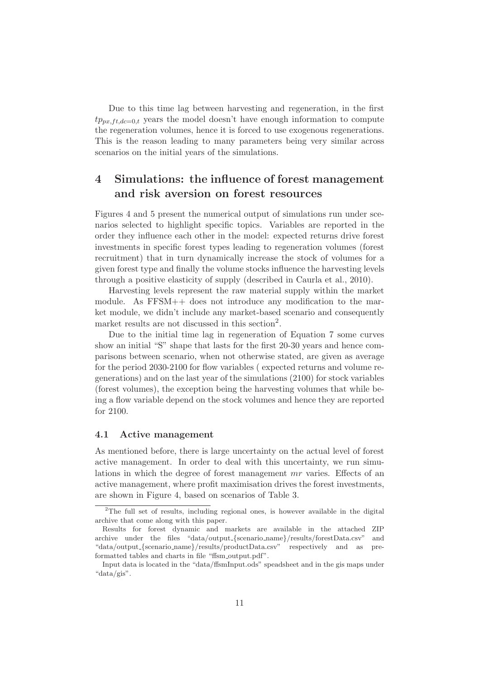Due to this time lag between harvesting and regeneration, in the first  $tp_{px,ft,dc=0,t}$  years the model doesn't have enough information to compute the regeneration volumes, hence it is forced to use exogenous regenerations. This is the reason leading to many parameters being very similar across scenarios on the initial years of the simulations.

# 4 Simulations: the influence of forest management and risk aversion on forest resources

Figures 4 and 5 present the numerical output of simulations run under scenarios selected to highlight specific topics. Variables are reported in the order they influence each other in the model: expected returns drive forest investments in specific forest types leading to regeneration volumes (forest recruitment) that in turn dynamically increase the stock of volumes for a given forest type and finally the volume stocks influence the harvesting levels through a positive elasticity of supply (described in Caurla et al., 2010).

Harvesting levels represent the raw material supply within the market module. As FFSM++ does not introduce any modification to the market module, we didn't include any market-based scenario and consequently market results are not discussed in this section<sup>2</sup>.

Due to the initial time lag in regeneration of Equation 7 some curves show an initial "S" shape that lasts for the first 20-30 years and hence comparisons between scenario, when not otherwise stated, are given as average for the period 2030-2100 for flow variables ( expected returns and volume regenerations) and on the last year of the simulations (2100) for stock variables (forest volumes), the exception being the harvesting volumes that while being a flow variable depend on the stock volumes and hence they are reported for 2100.

#### 4.1 Active management

As mentioned before, there is large uncertainty on the actual level of forest active management. In order to deal with this uncertainty, we run simulations in which the degree of forest management mr varies. Effects of an active management, where profit maximisation drives the forest investments, are shown in Figure 4, based on scenarios of Table 3.

<sup>&</sup>lt;sup>2</sup>The full set of results, including regional ones, is however available in the digital archive that come along with this paper.

Results for forest dynamic and markets are available in the attached ZIP archive under the files "data/output {scenario name}/results/forestData.csv" and "data/output {scenario name}/results/productData.csv" respectively and as preformatted tables and charts in file "ffsm\_output.pdf".

Input data is located in the "data/ffsmInput.ods" speadsheet and in the gis maps under "data/gis".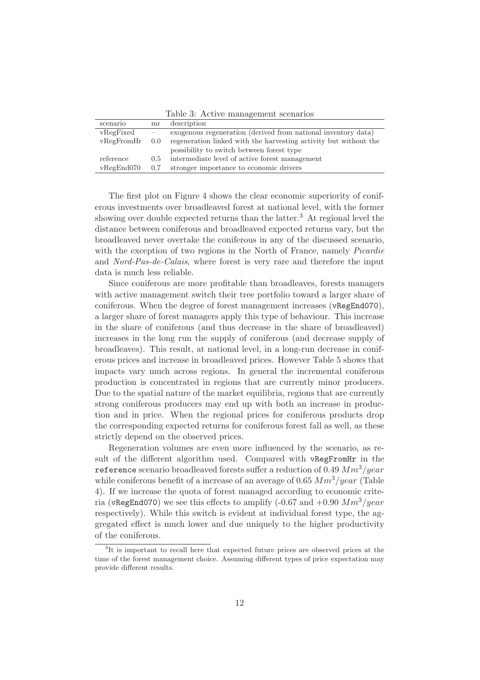| <b>Table 0.</b> Treater management bechanged |     |                                                                  |  |  |
|----------------------------------------------|-----|------------------------------------------------------------------|--|--|
| scenario                                     | mr  | description                                                      |  |  |
| vRegFixed                                    |     | exogenous regeneration (derived from national inventory data)    |  |  |
| vRegFromHr                                   | 0.0 | regeneration linked with the harvesting activity but without the |  |  |
|                                              |     | possibility to switch between forest type                        |  |  |
| reference                                    | 0.5 | intermediate level of active forest management                   |  |  |
| vRegEnd070                                   | 0.7 | stronger importance to economic drivers                          |  |  |

Table 3: Active management scenarios

The first plot on Figure 4 shows the clear economic superiority of coniferous investments over broadleaved forest at national level, with the former showing over double expected returns than the latter.<sup>3</sup> At regional level the distance between coniferous and broadleaved expected returns vary, but the broadleaved never overtake the coniferous in any of the discussed scenario, with the exception of two regions in the North of France, namely *Picardie* and *Nord-Pas-de-Calais*, where forest is very rare and therefore the input data is much less reliable.

Since coniferous are more profitable than broadleaves, forests managers with active management switch their tree portfolio toward a larger share of coniferous. When the degree of forest management increases (vRegEnd070), a larger share of forest managers apply this type of behaviour. This increase in the share of coniferous (and thus decrease in the share of broadleaved) increases in the long run the supply of coniferous (and decrease supply of broadleaves). This result, at national level, in a long-run decrease in coniferous prices and increase in broadleaved prices. However Table 5 shows that impacts vary much across regions. In general the incremental coniferous production is concentrated in regions that are currently minor producers. Due to the spatial nature of the market equilibria, regions that are currently strong coniferous producers may end up with both an increase in production and in price. When the regional prices for coniferous products drop the corresponding expected returns for coniferous forest fall as well, as these strictly depend on the observed prices.

Regeneration volumes are even more influenced by the scenario, as result of the different algorithm used. Compared with vRegFromHr in the reference scenario broadleaved forests suffer a reduction of 0.49  $Mm<sup>3</sup>/year$ while coniferous benefit of a increase of an average of 0.65  $Mm<sup>3</sup>/year$  (Table 4). If we increase the quota of forest managed according to economic criteria (vRegEnd070) we see this effects to amplify (-0.67 and  $+0.90$   $Mm<sup>3</sup>/year$ respectively). While this switch is evident at individual forest type, the aggregated effect is much lower and due uniquely to the higher productivity of the coniferous.

<sup>&</sup>lt;sup>3</sup>It is important to recall here that expected future prices are observed prices at the time of the forest management choice. Assuming different types of price expectation may provide different results.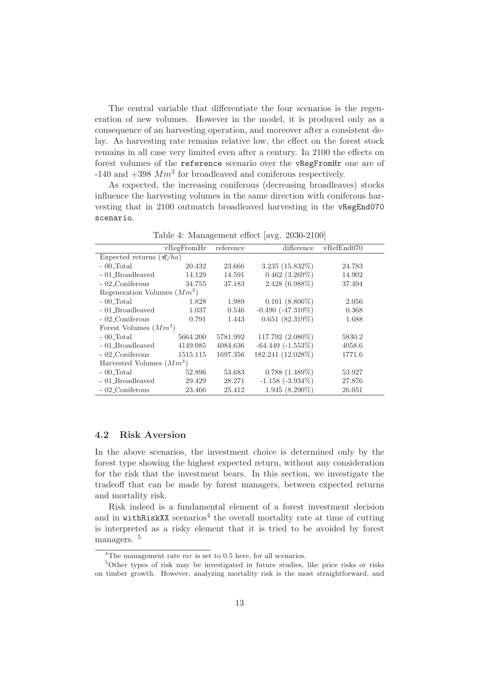The central variable that differentiate the four scenarios is the regeneration of new volumes. However in the model, it is produced only as a consequence of an harvesting operation, and moreover after a consistent delay. As harvesting rate remains relative low, the effect on the forest stock remains in all case very limited even after a century. In 2100 the effects on forest volumes of the reference scenario over the vRegFromHr one are of -140 and  $+398$   $Mm<sup>3</sup>$  for broadleaved and coniferous respectively.

As expected, the increasing coniferous (decreasing broadleaves) stocks influence the harvesting volumes in the same direction with coniferous harvesting that in 2100 outmatch broadleaved harvesting in the vRegEnd070 scenario.

|                                     | vRegFromHr | reference | difference             | vRefEnd070 |  |  |  |
|-------------------------------------|------------|-----------|------------------------|------------|--|--|--|
| Expected returns $(\mathcal{C}/ha)$ |            |           |                        |            |  |  |  |
| $-00$ Total                         | 20.432     | 23.666    | $3.235(15.832\%)$      | 24.783     |  |  |  |
| - 01_Broadleaved                    | 14.129     | 14.591    | $0.462$ $(3.269\%)$    | 14.902     |  |  |  |
| - 02_Coniferous                     | 34.755     | 37.183    | 2.428 (6.988%)         | 37.494     |  |  |  |
| Regeneration Volumes $(Mm^3)$       |            |           |                        |            |  |  |  |
| $-00$ Total                         | 1.828      | 1.989     | $0.161(8.806\%)$       | 2.056      |  |  |  |
| - 01_Broadleaved                    | 1.037      | 0.546     | $-0.490$ $(-47.310\%)$ | 0.368      |  |  |  |
| - 02_Coniferous                     | 0.791      | 1.443     | $0.651(82.319\%)$      | 1.688      |  |  |  |
| Forest Volumes $(Mm^3)$             |            |           |                        |            |  |  |  |
| $-00$ -Total                        | 5664.200   | 5781.992  | 117.792 (2.080%)       | 5830.2     |  |  |  |
| - 01_Broadleaved                    | 4149.085   | 4084.636  | $-64.449$ $(-1.553\%)$ | 4058.6     |  |  |  |
| - 02_Coniferous                     | 1515.115   | 1697.356  | 182.241 (12.028%)      | 1771.6     |  |  |  |
| Harvested Volumes $(Mm^3)$          |            |           |                        |            |  |  |  |
| $-00$ Total                         | 52.896     | 53.683    | $0.788(1.489\%)$       | 53.927     |  |  |  |
| - 01_Broadleaved                    | 29.429     | 28.271    | $-1.158$ $(-3.934\%)$  | 27.876     |  |  |  |
| - 02_Coniferous                     | 23.466     | 25.412    | $1.945(8.290\%)$       | 26.051     |  |  |  |

Table 4: Management effect [avg. 2030-2100]

#### 4.2 Risk Aversion

In the above scenarios, the investment choice is determined only by the forest type showing the highest expected return, without any consideration for the risk that the investment bears. In this section, we investigate the tradeoff that can be made by forest managers, between expected returns and mortality risk.

Risk indeed is a fundamental element of a forest investment decision and in  $within$ ithRiskXX scenarios<sup>4</sup> the overall mortality rate at time of cutting is interpreted as a risky element that it is tried to be avoided by forest managers.<sup>5</sup>

<sup>&</sup>lt;sup>4</sup>The management rate  $mr$  is set to 0.5 here, for all scenarios.

<sup>5</sup>Other types of risk may be investigated in future studies, like price risks or risks on timber growth. However, analyzing mortality risk is the most straightforward, and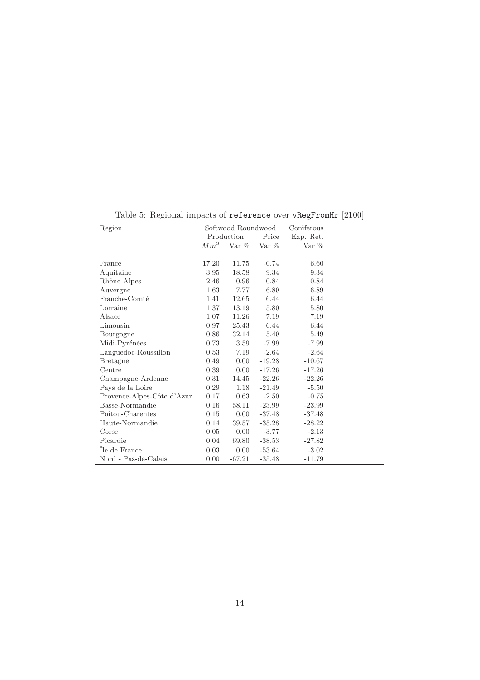| Region                     | Softwood Roundwood |          | Coniferous |           |  |
|----------------------------|--------------------|----------|------------|-----------|--|
|                            | Production         |          | Price      | Exp. Ret. |  |
|                            | Mm <sup>3</sup>    | Var $%$  | Var $%$    | Var $\%$  |  |
|                            |                    |          |            |           |  |
| France                     | 17.20              | 11.75    | $-0.74$    | 6.60      |  |
| Aquitaine                  | 3.95               | 18.58    | 9.34       | 9.34      |  |
| Rhône-Alpes                | 2.46               | 0.96     | $-0.84$    | $-0.84$   |  |
| Auvergne                   | 1.63               | 7.77     | 6.89       | 6.89      |  |
| Franche-Comté              | 1.41               | 12.65    | 6.44       | 6.44      |  |
| Lorraine                   | 1.37               | 13.19    | 5.80       | 5.80      |  |
| Alsace                     | 1.07               | 11.26    | 7.19       | 7.19      |  |
| Limousin                   | $0.97\,$           | 25.43    | 6.44       | 6.44      |  |
| Bourgogne                  | 0.86               | 32.14    | 5.49       | 5.49      |  |
| Midi-Pyrénées              | 0.73               | 3.59     | $-7.99$    | $-7.99$   |  |
| Languedoc-Roussillon       | 0.53               | 7.19     | $-2.64$    | $-2.64$   |  |
| <b>Bretagne</b>            | 0.49               | 0.00     | $-19.28$   | $-10.67$  |  |
| Centre                     | 0.39               | 0.00     | $-17.26$   | $-17.26$  |  |
| Champagne-Ardenne          | 0.31               | 14.45    | $-22.26$   | $-22.26$  |  |
| Pays de la Loire           | 0.29               | 1.18     | $-21.49$   | $-5.50$   |  |
| Provence-Alpes-Côte d'Azur | 0.17               | 0.63     | $-2.50$    | $-0.75$   |  |
| Basse-Normandie            | 0.16               | 58.11    | $-23.99$   | $-23.99$  |  |
| Poitou-Charentes           | 0.15               | 0.00     | $-37.48$   | $-37.48$  |  |
| Haute-Normandie            | 0.14               | 39.57    | $-35.28$   | $-28.22$  |  |
| Corse                      | 0.05               | 0.00     | $-3.77$    | $-2.13$   |  |
| Picardie                   | 0.04               | 69.80    | $-38.53$   | $-27.82$  |  |
| Ile de France              | 0.03               | 0.00     | $-53.64$   | $-3.02$   |  |
| Nord - Pas-de-Calais       | 0.00               | $-67.21$ | $-35.48$   | $-11.79$  |  |

Table 5: Regional impacts of reference over vRegFromHr [2100]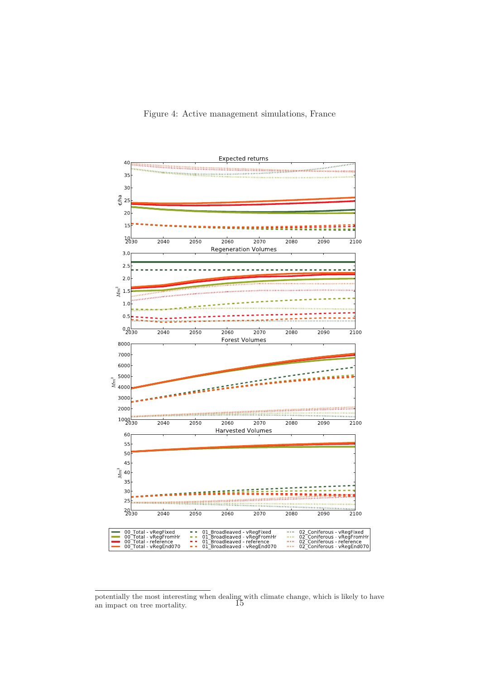

potentially the most interesting when dealing with climate change, which is likely to have an impact on tree mortality. 15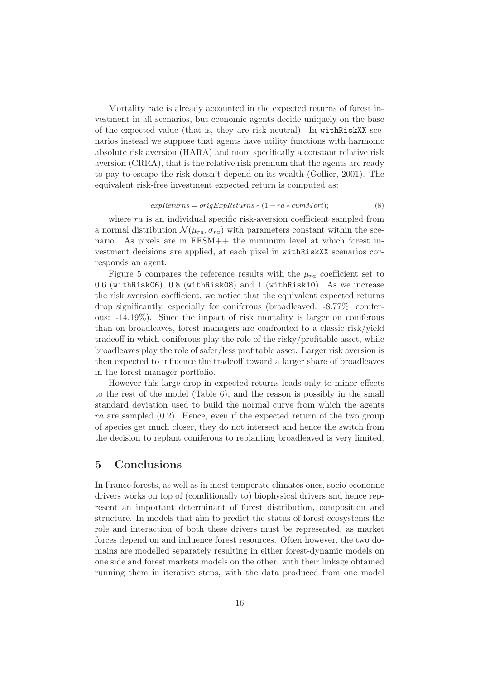Mortality rate is already accounted in the expected returns of forest investment in all scenarios, but economic agents decide uniquely on the base of the expected value (that is, they are risk neutral). In withRiskXX scenarios instead we suppose that agents have utility functions with harmonic absolute risk aversion (HARA) and more specifically a constant relative risk aversion (CRRA), that is the relative risk premium that the agents are ready to pay to escape the risk doesn't depend on its wealth (Gollier, 2001). The equivalent risk-free investment expected return is computed as:

#### $expReturns = origExpReturns * (1 - ra * cum Mort);$  (8)

where  $ra$  is an individual specific risk-aversion coefficient sampled from a normal distribution  $\mathcal{N}(\mu_{ra}, \sigma_{ra})$  with parameters constant within the scenario. As pixels are in FFSM++ the minimum level at which forest investment decisions are applied, at each pixel in withRiskXX scenarios corresponds an agent.

Figure 5 compares the reference results with the  $\mu_{ra}$  coefficient set to 0.6 (withRisk06), 0.8 (withRisk08) and 1 (withRisk10). As we increase the risk aversion coefficient, we notice that the equivalent expected returns drop significantly, especially for coniferous (broadleaved: -8.77%; coniferous: -14.19%). Since the impact of risk mortality is larger on coniferous than on broadleaves, forest managers are confronted to a classic risk/yield tradeoff in which coniferous play the role of the risky/profitable asset, while broadleaves play the role of safer/less profitable asset. Larger risk aversion is then expected to influence the tradeoff toward a larger share of broadleaves in the forest manager portfolio.

However this large drop in expected returns leads only to minor effects to the rest of the model (Table 6), and the reason is possibly in the small standard deviation used to build the normal curve from which the agents ra are sampled  $(0.2)$ . Hence, even if the expected return of the two group of species get much closer, they do not intersect and hence the switch from the decision to replant coniferous to replanting broadleaved is very limited.

## 5 Conclusions

In France forests, as well as in most temperate climates ones, socio-economic drivers works on top of (conditionally to) biophysical drivers and hence represent an important determinant of forest distribution, composition and structure. In models that aim to predict the status of forest ecosystems the role and interaction of both these drivers must be represented, as market forces depend on and influence forest resources. Often however, the two domains are modelled separately resulting in either forest-dynamic models on one side and forest markets models on the other, with their linkage obtained running them in iterative steps, with the data produced from one model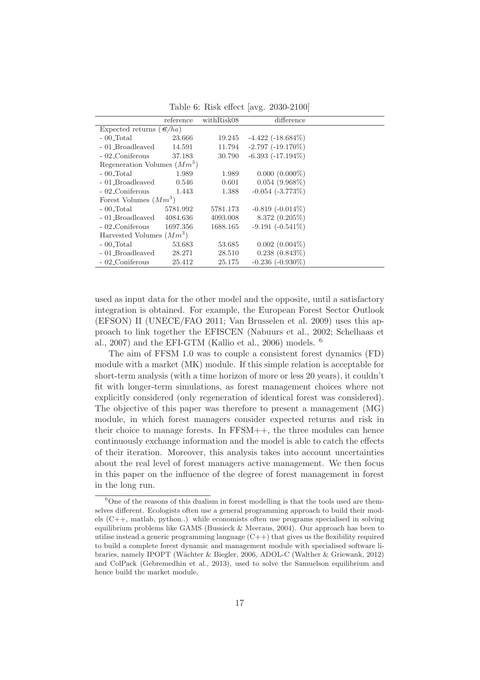Table 6: Risk effect [avg. 2030-2100]

|                                     | reference | withRisk08 | difference             |  |  |  |
|-------------------------------------|-----------|------------|------------------------|--|--|--|
| Expected returns $(\mathcal{C}/ha)$ |           |            |                        |  |  |  |
| $-00$ Total                         | 23.666    | 19.245     | $-4.422$ $(-18.684\%)$ |  |  |  |
| - 01_Broadleaved                    | 14.591    | 11.794     | $-2.797(-19.170\%)$    |  |  |  |
| - 02_Coniferous                     | 37.183    | 30.790     | $-6.393$ $(-17.194\%)$ |  |  |  |
| Regeneration Volumes $(Mm^3)$       |           |            |                        |  |  |  |
| $-00$ Total                         | 1.989     | 1.989      | $0.000(0.000\%)$       |  |  |  |
| - 01 Broadleaved                    | 0.546     | 0.601      | $0.054(9.968\%)$       |  |  |  |
| - 02_Coniferous                     | 1.443     | 1.388      | $-0.054$ $(-3.773\%)$  |  |  |  |
| Forest Volumes $(Mm^3)$             |           |            |                        |  |  |  |
| $-00$ Total                         | 5781.992  | 5781.173   | $-0.819(-0.014\%)$     |  |  |  |
| - 01 Broadleaved                    | 4084.636  | 4093.008   | 8.372 (0.205%)         |  |  |  |
| - 02_Coniferous                     | 1697.356  | 1688.165   | $-9.191 (-0.541\%)$    |  |  |  |
| Harvested Volumes $(Mm^3)$          |           |            |                        |  |  |  |
| $-00$ Total                         | 53.683    | 53.685     | $0.002(0.004\%)$       |  |  |  |
| - 01_Broadleaved<br>28.271          |           | 28.510     | $0.238(0.843\%)$       |  |  |  |
| - 02_Coniferous                     | 25.412    | 25.175     | $-0.236$ $(-0.930\%)$  |  |  |  |

used as input data for the other model and the opposite, until a satisfactory integration is obtained. For example, the European Forest Sector Outlook (EFSON) II (UNECE/FAO 2011; Van Brusselen et al. 2009) uses this approach to link together the EFISCEN (Nabuurs et al., 2002; Schelhaas et al., 2007) and the EFI-GTM (Kallio et al., 2006) models. <sup>6</sup>

The aim of FFSM 1.0 was to couple a consistent forest dynamics (FD) module with a market (MK) module. If this simple relation is acceptable for short-term analysis (with a time horizon of more or less 20 years), it couldn't fit with longer-term simulations, as forest management choices where not explicitly considered (only regeneration of identical forest was considered). The objective of this paper was therefore to present a management (MG) module, in which forest managers consider expected returns and risk in their choice to manage forests. In FFSM++, the three modules can hence continuously exchange information and the model is able to catch the effects of their iteration. Moreover, this analysis takes into account uncertainties about the real level of forest managers active management. We then focus in this paper on the influence of the degree of forest management in forest in the long run.

 $6$ One of the reasons of this dualism in forest modelling is that the tools used are themselves different. Ecologists often use a general programming approach to build their models (C++, matlab, python..) while economists often use programs specialised in solving equilibrium problems like GAMS (Bussieck & Meeraus, 2004). Our approach has been to utilise instead a generic programming language  $(C_{++})$  that gives us the flexibility required to build a complete forest dynamic and management module with specialised software libraries, namely IPOPT (Wächter & Biegler, 2006, ADOL-C (Walther & Griewank, 2012) and ColPack (Gebremedhin et al., 2013), used to solve the Samuelson equilibrium and hence build the market module.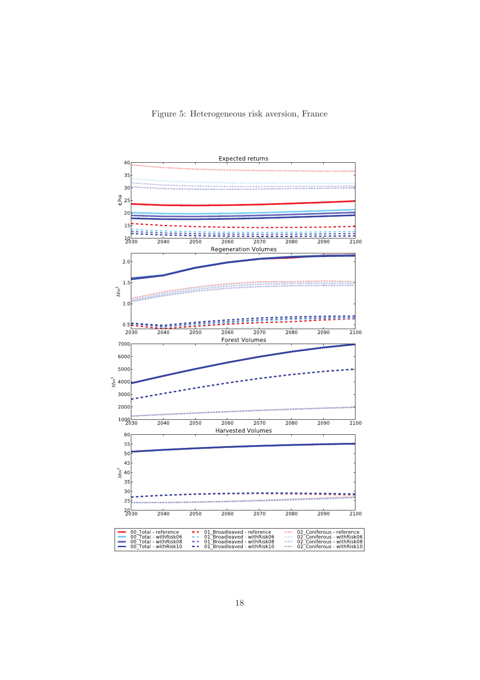#### Figure 5: Heterogeneous risk aversion, France

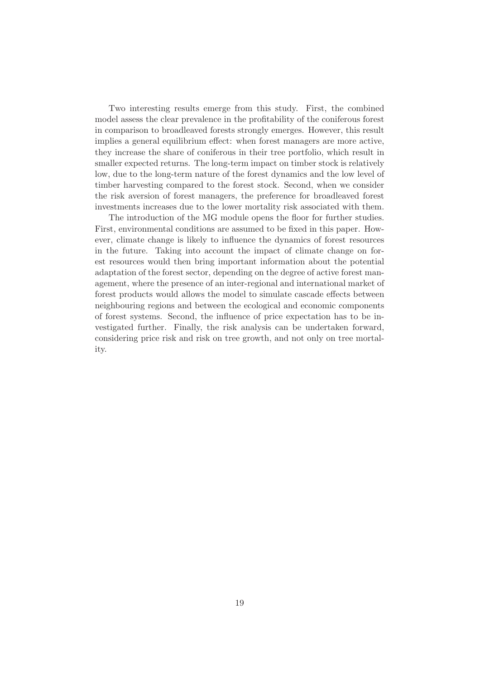Two interesting results emerge from this study. First, the combined model assess the clear prevalence in the profitability of the coniferous forest in comparison to broadleaved forests strongly emerges. However, this result implies a general equilibrium effect: when forest managers are more active, they increase the share of coniferous in their tree portfolio, which result in smaller expected returns. The long-term impact on timber stock is relatively low, due to the long-term nature of the forest dynamics and the low level of timber harvesting compared to the forest stock. Second, when we consider the risk aversion of forest managers, the preference for broadleaved forest investments increases due to the lower mortality risk associated with them.

The introduction of the MG module opens the floor for further studies. First, environmental conditions are assumed to be fixed in this paper. However, climate change is likely to influence the dynamics of forest resources in the future. Taking into account the impact of climate change on forest resources would then bring important information about the potential adaptation of the forest sector, depending on the degree of active forest management, where the presence of an inter-regional and international market of forest products would allows the model to simulate cascade effects between neighbouring regions and between the ecological and economic components of forest systems. Second, the influence of price expectation has to be investigated further. Finally, the risk analysis can be undertaken forward, considering price risk and risk on tree growth, and not only on tree mortality.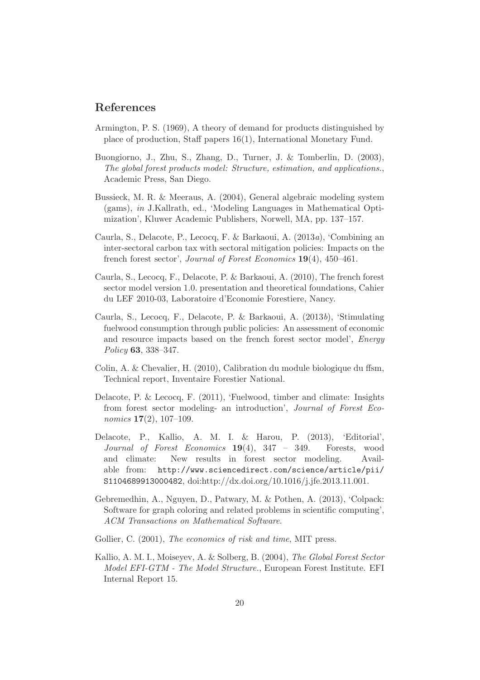# References

- Armington, P. S. (1969), A theory of demand for products distinguished by place of production, Staff papers 16(1), International Monetary Fund.
- Buongiorno, J., Zhu, S., Zhang, D., Turner, J. & Tomberlin, D. (2003), *The global forest products model: Structure, estimation, and applications.*, Academic Press, San Diego.
- Bussieck, M. R. & Meeraus, A. (2004), General algebraic modeling system (gams), *in* J.Kallrath, ed., 'Modeling Languages in Mathematical Optimization', Kluwer Academic Publishers, Norwell, MA, pp. 137–157.
- Caurla, S., Delacote, P., Lecocq, F. & Barkaoui, A. (2013*a*), 'Combining an inter-sectoral carbon tax with sectoral mitigation policies: Impacts on the french forest sector', *Journal of Forest Economics* 19(4), 450–461.
- Caurla, S., Lecocq, F., Delacote, P. & Barkaoui, A. (2010), The french forest sector model version 1.0. presentation and theoretical foundations, Cahier du LEF 2010-03, Laboratoire d'Economie Forestiere, Nancy.
- Caurla, S., Lecocq, F., Delacote, P. & Barkaoui, A. (2013*b*), 'Stimulating fuelwood consumption through public policies: An assessment of economic and resource impacts based on the french forest sector model', *Energy Policy* 63, 338–347.
- Colin, A. & Chevalier, H. (2010), Calibration du module biologique du ffsm, Technical report, Inventaire Forestier National.
- Delacote, P. & Lecocq, F. (2011), 'Fuelwood, timber and climate: Insights from forest sector modeling- an introduction', *Journal of Forest Economics* 17(2), 107–109.
- Delacote, P., Kallio, A. M. I. & Harou, P. (2013), 'Editorial', *Journal of Forest Economics* 19(4), 347 – 349. Forests, wood and climate: New results in forest sector modeling. Available from: http://www.sciencedirect.com/science/article/pii/ S1104689913000482, doi:http://dx.doi.org/10.1016/j.jfe.2013.11.001.
- Gebremedhin, A., Nguyen, D., Patwary, M. & Pothen, A. (2013), 'Colpack: Software for graph coloring and related problems in scientific computing', *ACM Transactions on Mathematical Software*.
- Gollier, C. (2001), *The economics of risk and time*, MIT press.
- Kallio, A. M. I., Moiseyev, A. & Solberg, B. (2004), *The Global Forest Sector Model EFI-GTM - The Model Structure.*, European Forest Institute. EFI Internal Report 15.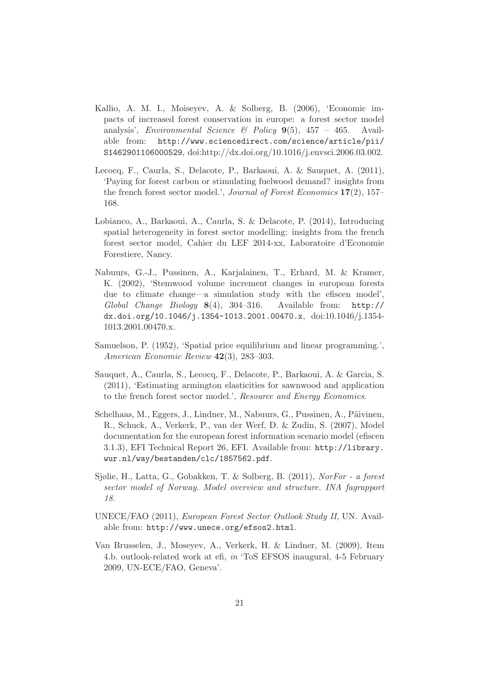- Kallio, A. M. I., Moiseyev, A. & Solberg, B. (2006), 'Economic impacts of increased forest conservation in europe: a forest sector model analysis', *Environmental Science & Policy* 9(5), 457 – 465. Available from: http://www.sciencedirect.com/science/article/pii/ S1462901106000529, doi:http://dx.doi.org/10.1016/j.envsci.2006.03.002.
- Lecocq, F., Caurla, S., Delacote, P., Barkaoui, A. & Sauquet, A. (2011), 'Paying for forest carbon or stimulating fuelwood demand? insights from the french forest sector model.', *Journal of Forest Economics* 17(2), 157– 168.
- Lobianco, A., Barkaoui, A., Caurla, S. & Delacote, P. (2014), Introducing spatial heterogeneity in forest sector modelling: insights from the french forest sector model, Cahier du LEF 2014-xx, Laboratoire d'Economie Forestiere, Nancy.
- Nabuurs, G.-J., Pussinen, A., Karjalainen, T., Erhard, M. & Kramer, K. (2002), 'Stemwood volume increment changes in european forests due to climate change—a simulation study with the efiscen model', *Global Change Biology* 8(4), 304–316. Available from: http:// dx.doi.org/10.1046/j.1354-1013.2001.00470.x, doi:10.1046/j.1354- 1013.2001.00470.x.
- Samuelson, P. (1952), 'Spatial price equilibrium and linear programming.', *American Economic Review* 42(3), 283–303.
- Sauquet, A., Caurla, S., Lecocq, F., Delacote, P., Barkaoui, A. & Garcia, S. (2011), 'Estimating armington elasticities for sawnwood and application to the french forest sector model.', *Resource and Energy Economics*.
- Schelhaas, M., Eggers, J., Lindner, M., Nabuurs, G., Pussinen, A., Päivinen, R., Schuck, A., Verkerk, P., van der Werf, D. & Zudin, S. (2007), Model documentation for the european forest information scenario model (efiscen 3.1.3), EFI Technical Report 26, EFI. Available from: http://library. wur.nl/way/bestanden/clc/1857562.pdf.
- Sjølie, H., Latta, G., Gobakken, T. & Solberg, B. (2011), *NorFor a forest sector model of Norway. Model overview and structure. INA fagrapport 18*.
- UNECE/FAO (2011), *European Forest Sector Outlook Study II*, UN. Available from: http://www.unece.org/efsos2.html.
- Van Brusselen, J., Moseyev, A., Verkerk, H. & Lindner, M. (2009), Item 4.b. outlook-related work at efi, *in* 'ToS EFSOS inaugural, 4-5 February 2009, UN-ECE/FAO, Geneva'.